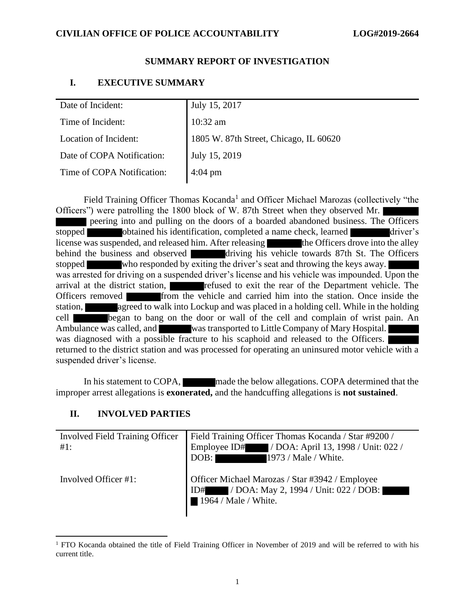### **SUMMARY REPORT OF INVESTIGATION**

## **I. EXECUTIVE SUMMARY**

| Date of Incident:          | July 15, 2017                          |
|----------------------------|----------------------------------------|
| Time of Incident:          | $10:32$ am                             |
| Location of Incident:      | 1805 W. 87th Street, Chicago, IL 60620 |
| Date of COPA Notification: | July 15, 2019                          |
| Time of COPA Notification: | $4:04 \text{ pm}$                      |
|                            |                                        |

Field Training Officer Thomas Kocanda<sup>1</sup> and Officer Michael Marozas (collectively "the Officers") were patrolling the 1800 block of W. 87th Street when they observed Mr. peering into and pulling on the doors of a boarded abandoned business. The Officers stopped obtained his identification, completed a name check, learned driver's license was suspended, and released him. After releasing the Officers drove into the alley behind the business and observed  $\overline{d}$  driving his vehicle towards 87th St. The Officers stopped who responded by exiting the driver's seat and throwing the keys away. was arrested for driving on a suspended driver's license and his vehicle was impounded. Upon the arrival at the district station, **refused to exit the rear of the Department vehicle.** The Officers removed from the vehicle and carried him into the station. Once inside the station, agreed to walk into Lockup and was placed in a holding cell. While in the holding cell began to bang on the door or wall of the cell and complain of wrist pain. An Ambulance was called, and was transported to Little Company of Mary Hospital. was diagnosed with a possible fracture to his scaphoid and released to the Officers. returned to the district station and was processed for operating an uninsured motor vehicle with a suspended driver's license.

In his statement to COPA, made the below allegations. COPA determined that the improper arrest allegations is **exonerated,** and the handcuffing allegations is **not sustained**.

## **II. INVOLVED PARTIES**

| Involved Field Training Officer<br>#1: | Field Training Officer Thomas Kocanda / Star #9200 /<br>Employee ID# / DOA: April 13, 1998 / Unit: 022 /<br>1973 / Male / White.<br>DOB: |
|----------------------------------------|------------------------------------------------------------------------------------------------------------------------------------------|
| Involved Officer #1:                   | Officer Michael Marozas / Star #3942 / Employee<br>ID# / DOA: May 2, 1994 / Unit: 022 / DOB:<br>$\blacksquare$ 1964 / Male / White.      |

<sup>&</sup>lt;sup>1</sup> FTO Kocanda obtained the title of Field Training Officer in November of 2019 and will be referred to with his current title.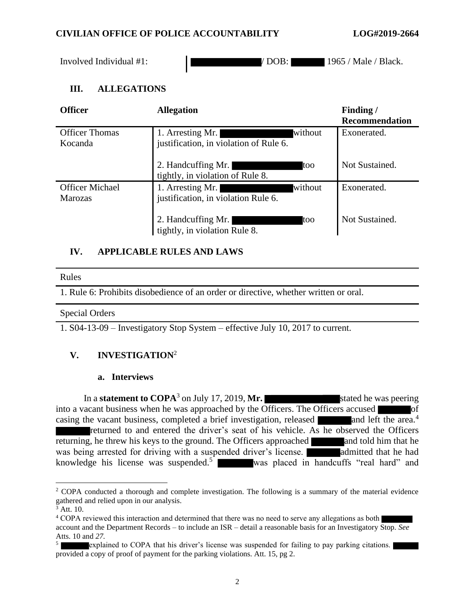### **CIVILIAN OFFICE OF POLICE ACCOUNTABILITY LOG#2019-2664**

Involved Individual #1:  $/$  DOB:  $/$  1965 / Male / Black.

## **III. ALLEGATIONS**

| <b>Officer</b>                           | <b>Allegation</b>                                                     | Finding/<br><b>Recommendation</b> |
|------------------------------------------|-----------------------------------------------------------------------|-----------------------------------|
| <b>Officer Thomas</b><br>Kocanda         | without<br>1. Arresting Mr.<br>justification, in violation of Rule 6. | Exonerated.                       |
|                                          | 2. Handcuffing Mr.<br>too<br>tightly, in violation of Rule 8.         | Not Sustained.                    |
| <b>Officer Michael</b><br><b>Marozas</b> | without<br>1. Arresting Mr.<br>justification, in violation Rule 6.    | Exonerated.                       |
|                                          | 2. Handcuffing Mr.<br>too<br>tightly, in violation Rule 8.            | Not Sustained.                    |

## **IV. APPLICABLE RULES AND LAWS**

#### Rules

1. Rule 6: Prohibits disobedience of an order or directive, whether written or oral.

#### Special Orders

1. S04-13-09 – Investigatory Stop System – effective July 10, 2017 to current.

# **V. INVESTIGATION**<sup>2</sup>

#### **a. Interviews**

In a **statement to COPA**<sup>3</sup> on July 17, 2019, Mr. stated he was peering into a vacant business when he was approached by the Officers. The Officers accused of casing the vacant business, completed a brief investigation, released and left the area.<sup>4</sup> returned to and entered the driver's seat of his vehicle. As he observed the Officers returning, he threw his keys to the ground. The Officers approached and told him that he was being arrested for driving with a suspended driver's license. **All admitted that he had** knowledge his license was suspended.<sup>5</sup> was placed in handcuffs "real hard" and

<sup>&</sup>lt;sup>2</sup> COPA conducted a thorough and complete investigation. The following is a summary of the material evidence gathered and relied upon in our analysis.

 $3$  Att. 10.

<sup>&</sup>lt;sup>4</sup> COPA reviewed this interaction and determined that there was no need to serve any allegations as both | account and the Department Records – to include an ISR – detail a reasonable basis for an Investigatory Stop. *See*  Atts. 10 and *27.*

<sup>5</sup> explained to COPA that his driver's license was suspended for failing to pay parking citations. provided a copy of proof of payment for the parking violations. Att. 15, pg 2.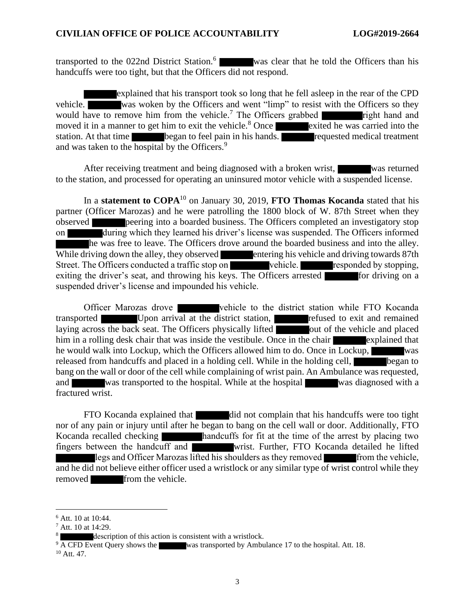transported to the 022nd District Station.<sup>6</sup> was clear that he told the Officers than his handcuffs were too tight, but that the Officers did not respond.

explained that his transport took so long that he fell asleep in the rear of the CPD vehicle. was woken by the Officers and went "limp" to resist with the Officers so they would have to remove him from the vehicle.<sup>7</sup> The Officers grabbed right hand and moved it in a manner to get him to exit the vehicle.<sup>8</sup> Once exited he was carried into the station. At that time began to feel pain in his hands. requested medical treatment and was taken to the hospital by the Officers.<sup>9</sup>

After receiving treatment and being diagnosed with a broken wrist, was returned to the station, and processed for operating an uninsured motor vehicle with a suspended license.

In a **statement to COPA**<sup>10</sup> on January 30, 2019, **FTO Thomas Kocanda** stated that his partner (Officer Marozas) and he were patrolling the 1800 block of W. 87th Street when they observed peering into a boarded business. The Officers completed an investigatory stop on during which they learned his driver's license was suspended. The Officers informed he was free to leave. The Officers drove around the boarded business and into the alley. While driving down the alley, they observed entering his vehicle and driving towards 87th Street. The Officers conducted a traffic stop on vehicle. responded by stopping, exiting the driver's seat, and throwing his keys. The Officers arrested for driving on a suspended driver's license and impounded his vehicle.

Officer Marozas drove vehicle to the district station while FTO Kocanda transported Upon arrival at the district station, **the refused to exit and remained** laying across the back seat. The Officers physically lifted out of the vehicle and placed him in a rolling desk chair that was inside the vestibule. Once in the chair explained that he would walk into Lockup, which the Officers allowed him to do. Once in Lockup, released from handcuffs and placed in a holding cell. While in the holding cell, began to bang on the wall or door of the cell while complaining of wrist pain. An Ambulance was requested, and was transported to the hospital. While at the hospital was diagnosed with a fractured wrist.

FTO Kocanda explained that did not complain that his handcuffs were too tight nor of any pain or injury until after he began to bang on the cell wall or door. Additionally, FTO Kocanda recalled checking handcuffs for fit at the time of the arrest by placing two fingers between the handcuff and wrist. Further, FTO Kocanda detailed he lifted legs and Officer Marozas lifted his shoulders as they removed from the vehicle, and he did not believe either officer used a wristlock or any similar type of wrist control while they removed from the vehicle.

<sup>6</sup> Att. 10 at 10:44.

<sup>7</sup> Att. 10 at 14:29.

description of this action is consistent with a wristlock.

<sup>&</sup>lt;sup>9</sup> A CFD Event Query shows the was transported by Ambulance 17 to the hospital. Att. 18.

 $10$  Att. 47.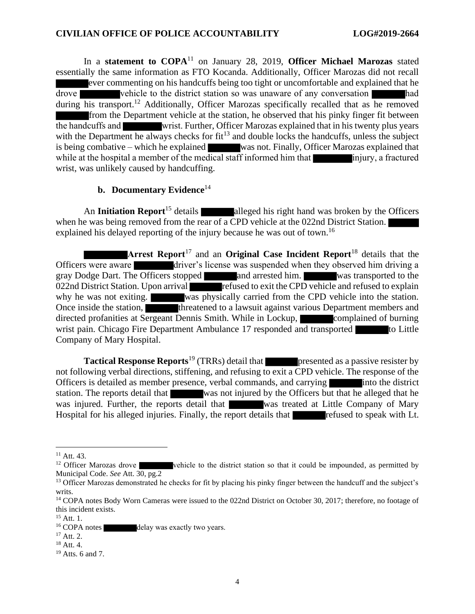In a **statement to COPA**<sup>11</sup> on January 28, 2019, **Officer Michael Marozas** stated essentially the same information as FTO Kocanda. Additionally, Officer Marozas did not recall ever commenting on his handcuffs being too tight or uncomfortable and explained that he drove vehicle to the district station so was unaware of any conversation had during his transport.<sup>12</sup> Additionally, Officer Marozas specifically recalled that as he removed from the Department vehicle at the station, he observed that his pinky finger fit between the handcuffs and wrist. Further, Officer Marozas explained that in his twenty plus years with the Department he always checks for  $fit^{13}$  and double locks the handcuffs, unless the subject is being combative – which he explained was not. Finally, Officer Marozas explained that while at the hospital a member of the medical staff informed him that injury, a fractured wrist, was unlikely caused by handcuffing.

#### **b.** Documentary Evidence<sup>14</sup>

An **Initiation Report**<sup>15</sup> details alleged his right hand was broken by the Officers when he was being removed from the rear of a CPD vehicle at the 022nd District Station. explained his delayed reporting of the injury because he was out of town.<sup>16</sup>

**Arrest Report**<sup>17</sup> and an **Original Case Incident Report**<sup>18</sup> details that the Officers were aware driver's license was suspended when they observed him driving a gray Dodge Dart. The Officers stopped and arrested him. Was transported to the 022nd District Station. Upon arrival refused to exit the CPD vehicle and refused to explain why he was not exiting. was physically carried from the CPD vehicle into the station. Once inside the station, the threatened to a lawsuit against various Department members and directed profanities at Sergeant Dennis Smith. While in Lockup, complained of burning wrist pain. Chicago Fire Department Ambulance 17 responded and transported to Little Company of Mary Hospital.

**Tactical Response Reports**<sup>19</sup> (TRRs) detail that **presented as a passive resister by** not following verbal directions, stiffening, and refusing to exit a CPD vehicle. The response of the Officers is detailed as member presence, verbal commands, and carrying into the district station. The reports detail that was not injured by the Officers but that he alleged that he was injured. Further, the reports detail that was treated at Little Company of Mary Hospital for his alleged injuries. Finally, the report details that refused to speak with Lt.

 $11$  Att. 43.

<sup>&</sup>lt;sup>12</sup> Officer Marozas drove vehicle to the district station so that it could be impounded, as permitted by Municipal Code. *See* Att. 30, pg.2

<sup>&</sup>lt;sup>13</sup> Officer Marozas demonstrated he checks for fit by placing his pinky finger between the handcuff and the subject's writs.

<sup>&</sup>lt;sup>14</sup> COPA notes Body Worn Cameras were issued to the 022nd District on October 30, 2017; therefore, no footage of this incident exists.

 $15$  Att. 1.

<sup>&</sup>lt;sup>16</sup> COPA notes delay was exactly two years.

 $17$  Att. 2.

<sup>18</sup> Att. 4.

 $19$  Atts. 6 and 7.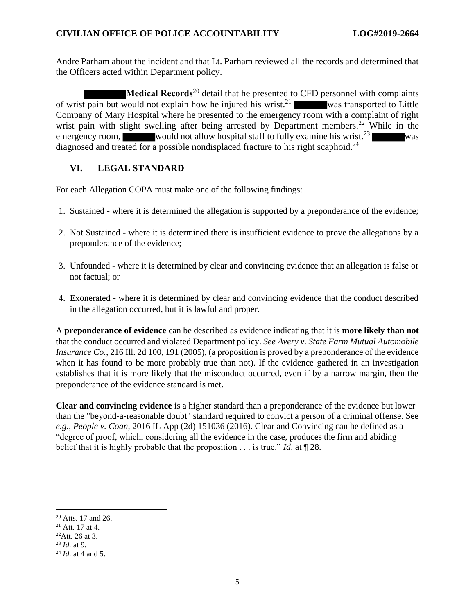Andre Parham about the incident and that Lt. Parham reviewed all the records and determined that the Officers acted within Department policy.

**Medical Records**<sup>20</sup> detail that he presented to CFD personnel with complaints of wrist pain but would not explain how he injured his wrist.<sup>21</sup> was transported to Little Company of Mary Hospital where he presented to the emergency room with a complaint of right wrist pain with slight swelling after being arrested by Department members.<sup>22</sup> While in the emergency room, would not allow hospital staff to fully examine his wrist.<sup>23</sup> was diagnosed and treated for a possible nondisplaced fracture to his right scaphoid.<sup>24</sup>

## **VI. LEGAL STANDARD**

For each Allegation COPA must make one of the following findings:

- 1. Sustained where it is determined the allegation is supported by a preponderance of the evidence;
- 2. Not Sustained where it is determined there is insufficient evidence to prove the allegations by a preponderance of the evidence;
- 3. Unfounded where it is determined by clear and convincing evidence that an allegation is false or not factual; or
- 4. Exonerated where it is determined by clear and convincing evidence that the conduct described in the allegation occurred, but it is lawful and proper.

A **preponderance of evidence** can be described as evidence indicating that it is **more likely than not** that the conduct occurred and violated Department policy. *See Avery v. State Farm Mutual Automobile Insurance Co.*, 216 Ill. 2d 100, 191 (2005), (a proposition is proved by a preponderance of the evidence when it has found to be more probably true than not). If the evidence gathered in an investigation establishes that it is more likely that the misconduct occurred, even if by a narrow margin, then the preponderance of the evidence standard is met.

**Clear and convincing evidence** is a higher standard than a preponderance of the evidence but lower than the "beyond-a-reasonable doubt" standard required to convict a person of a criminal offense. See *e.g.*, *People v. Coan*, 2016 IL App (2d) 151036 (2016). Clear and Convincing can be defined as a "degree of proof, which, considering all the evidence in the case, produces the firm and abiding belief that it is highly probable that the proposition . . . is true." *Id*. at ¶ 28.

<sup>20</sup> Atts. 17 and 26.

 $21$  Att. 17 at 4.

 $^{22}$ Att. 26 at 3.

<sup>23</sup> *Id.* at 9.

<sup>24</sup> *Id.* at 4 and 5.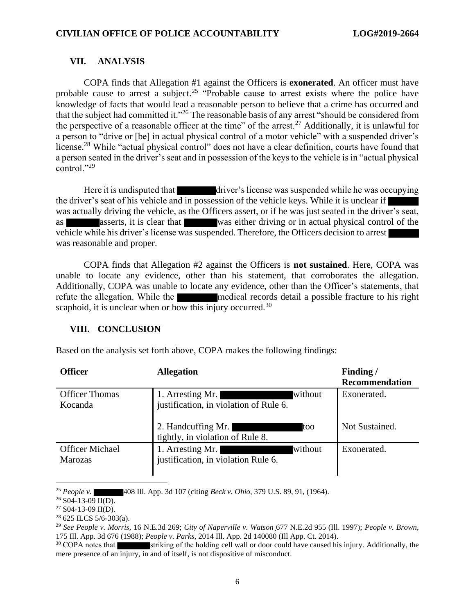## **VII. ANALYSIS**

COPA finds that Allegation #1 against the Officers is **exonerated**. An officer must have probable cause to arrest a subject.<sup>25</sup> "Probable cause to arrest exists where the police have knowledge of facts that would lead a reasonable person to believe that a crime has occurred and that the subject had committed it."<sup>26</sup> The reasonable basis of any arrest "should be considered from the perspective of a reasonable officer at the time" of the arrest.<sup>27</sup> Additionally, it is unlawful for a person to "drive or [be] in actual physical control of a motor vehicle" with a suspended driver's license.<sup>28</sup> While "actual physical control" does not have a clear definition, courts have found that a person seated in the driver's seat and in possession of the keys to the vehicle is in "actual physical control."<sup>29</sup>

Here it is undisputed that driver's license was suspended while he was occupying the driver's seat of his vehicle and in possession of the vehicle keys. While it is unclear if was actually driving the vehicle, as the Officers assert, or if he was just seated in the driver's seat, as asserts, it is clear that was either driving or in actual physical control of the vehicle while his driver's license was suspended. Therefore, the Officers decision to arrest was reasonable and proper.

COPA finds that Allegation #2 against the Officers is **not sustained**. Here, COPA was unable to locate any evidence, other than his statement, that corroborates the allegation. Additionally, COPA was unable to locate any evidence, other than the Officer's statements, that refute the allegation. While the medical records detail a possible fracture to his right scaphoid, it is unclear when or how this injury occurred.<sup>30</sup>

## **VIII. CONCLUSION**

| <b>Officer</b>                           | <b>Allegation</b>                                                     | Finding/              |
|------------------------------------------|-----------------------------------------------------------------------|-----------------------|
|                                          |                                                                       | <b>Recommendation</b> |
| <b>Officer Thomas</b><br>Kocanda         | without<br>1. Arresting Mr.<br>justification, in violation of Rule 6. | Exonerated.           |
|                                          | 2. Handcuffing Mr.<br>too<br>tightly, in violation of Rule 8.         | Not Sustained.        |
| <b>Officer Michael</b><br><b>Marozas</b> | without<br>1. Arresting Mr.<br>justification, in violation Rule 6.    | Exonerated.           |

Based on the analysis set forth above, COPA makes the following findings:

<sup>25</sup> *People v.* 408 Ill. App. 3d 107 (citing *Beck v. Ohio*, 379 U.S. 89, 91, (1964).

 $26$  S04-13-09 II(D).

 $27$  S04-13-09 II(D).

 $28625$  ILCS  $5/6 - 303(a)$ .

<sup>29</sup> *See People v. Morris,* 16 N.E.3d 269; *City of Naperville v. Watson*¸677 N.E.2d 955 (Ill. 1997); *People v. Brown,*  175 Ill. App. 3d 676 (1988); *People v. Parks*, 2014 Ill. App. 2d 140080 (Ill App. Ct. 2014).

striking of the holding cell wall or door could have caused his injury. Additionally, the mere presence of an injury, in and of itself, is not dispositive of misconduct.